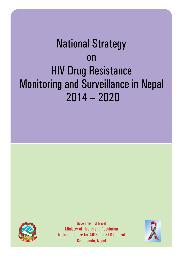# National Strategy on HIV Drug Resistance Monitoring and Surveillance in Nepal 2014 – 2020



Government of Nepal Ministry of Health and Population National Centre for AIDS and STD Control Kathmandu, Nepal

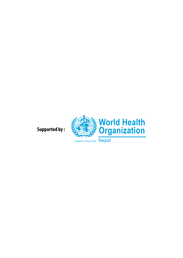**Supported by :**

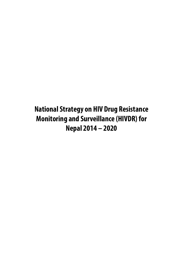**National Strategy on HIV Drug Resistance Monitoring and Surveillance (HIVDR) for Nepal 2014 – 2020**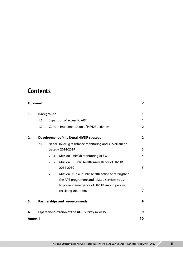## **Contents**

|                | <b>Foreword</b> |                   |                                                         | V              |
|----------------|-----------------|-------------------|---------------------------------------------------------|----------------|
| 1.             |                 | <b>Background</b> |                                                         | 1              |
|                | 1.1.            |                   | Expansion of access to ART                              | 1              |
|                | 1.2.            |                   | Current implementation of HIVDR activities              | $\overline{2}$ |
| 2.             |                 |                   | <b>Development of the Nepal HIVDR strategy</b>          | $\overline{2}$ |
|                | 2.1.            |                   | Nepal HIV drug resistance monitoring and surveillance s |                |
|                |                 |                   | trategy, 2014-2019                                      | 3              |
|                |                 | 2.1.1.            | Mission I: HIVDR monitoring of EWI                      | 4              |
|                |                 | 2.1.2.            | Mission II: Public health surveillance of HIVDR,        |                |
|                |                 |                   | 2014-2019                                               | 5              |
|                |                 | 2.1.3.            | Mission III: Take public health action to strengthen    |                |
|                |                 |                   | the ART programme and related services so as            |                |
|                |                 |                   | to prevent emergence of HIVDR among people              |                |
|                |                 |                   | receiving treatment                                     | 7              |
| 3.             |                 |                   | <b>Partnerships and resource needs</b>                  | 8              |
| 4.             |                 |                   | <b>Operationalization of the ADR survey in 2015</b>     | 9              |
| <b>Annex 1</b> |                 |                   |                                                         | 10             |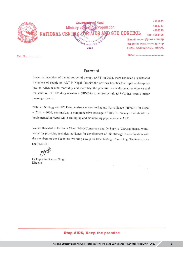|          | <b>Governments</b> of Nepal              | 4261653                   |
|----------|------------------------------------------|---------------------------|
|          | Leafth & Population<br>Ministry of       | 4262753                   |
|          |                                          | 4258219                   |
|          | NATIONAL CENTRE FOR AIDS AND STD CONTROL | Fax: 4261406              |
|          |                                          | E-mail: ncasc@mos.com.np  |
|          | entre for AIDS &                         | Website: www.ncasc.gov.np |
|          | 2063                                     | TEKU, KATHMANDU, NEPAL    |
| Ref. No. |                                          |                           |

Foreword

Since the inception of the antiretroviral therapy (ART) in 2004, there has been a substantial increment of people on ART in Nepal. Despite the obvious benefits that rapid scale-up has had on AIDS-related morbidity and mortality, the potential for widespread emergence and transmission of HIV drug resistance (HIVDR) to antiretrovirals (ARVs) has been a major ongoing concern.

National Strategy on HIV Drug Resistance Monitoring and Surveillance (HIVDR) for Nepal  $-2014 - 2020$ , summarizes a comprehensive package of HIVDR surveys that should be implemented in Nepal while scaling-up and maintaining populations on ART.

We are thankful to Dr Polin Chan, WHO Consultant and Dr Supriya Warusavithana, WHO-Nepal for providing technical guidance for development of this strategy in coordination with the members of the Technical Working Group on HIV Testing, Counseling, Treatment, care and PMTCT.

Dr Dipendra Raman Singh Director

#### **Stop AIDS, Keep the promise**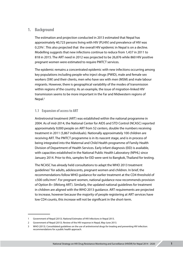#### **1. Background**

The estimation and projection conducted in 2013 estimated that Nepal has approximately 40,723 persons living with HIV (PLHIV) and prevalence of HIV was 0.23%<sup>1</sup>. This also projected that the overall HIV epidemic in Nepal is on a decline. Modelling suggests that new infections continue to reduce from 1,437 in 2011 to 818 in 2015. The ART need in 2012 was projected to be 26,876 while 860 HIV positive pregnant women were estimated to require PMTCT services.

The epidemic remains a concentrated epidemic with new infections occurring among key populations including people who inject drugs (PWID), male and female sex workers (SW) and their clients, men who have sex with men (MSM) and male labour migrants. However, there is geographical variability of the modes of transmission within regions of the country. As an example, the issue of migration-linked HIV transmission seems to be more important in the Far and Midwestern regions of Nepal.<sup>2</sup>

#### **1.1 Expansion of access to ART**

Antiretroviral treatment (ART) was established within the national programme in 2004. As of mid-2014, the National Center for AIDS and STD Control (NCASC) reported approximately 9,000 people on ART from 52 centers, double the numbers receiving treatment in 2011 (5,867 individuals). Nationally approximately 100 children are receiving ART. The PMTCT programme is in its nascent stage, and is in process of being integrated into the Maternal and Child Health programme of Family Health Division of Department of Health Services. Early infant diagnosis (EID) is available, with capacities established in the National Public Health Laboratory (NPHL) since January 2014. Prior to this, samples for EID were sent to Bangkok, Thailand for testing.

The NCASC has already held consultations to adapt the WHO 2013 treatment guidelines<sup>3</sup> for adults, adolescents, pregnant women and children. In brief, the recommendations follow WHO guidance for earlier treatment at the CD4 threshold of ≤500 cells/mm<sup>3</sup>. For pregnant women, national guidance now recommends provision of Option B+ (lifelong ART). Similarly, the updated national guidelines for treatment in children are aligned with the WHO 2013 guidance. ART requirements are projected to increase, however because the majority of people registering at ART services have low CD4 counts, this increase will not be significant in the short-term.

<sup>1</sup> Government of Nepal (2013). National Estimates of HIV Infections in Nepal 2013.

<sup>2</sup> Government of Nepal (2013). Review of the HIV response in Nepal, May-June 2013.

<sup>3</sup> WHO (2013). Consolidated guidelines on the use of antiretroviral drugs for treating and preventing HIV infection: recommendations for a public health approach.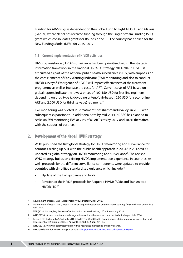Funding for ARV drugs is dependent on the Global Fund to Fight AIDS, TB and Malaria (GFATM) where Nepal has received funding through the Single Stream Funding (SSF) grant which consolidates grants for Rounds 7 and 10. The country has applied for the New Funding Model (NFM) for 2015 -2017.

#### **1.3 Current implementation of HIVDR activities**

HIV drug resistance (HIVDR) surveillance has been prioritised within the strategic information framework in the National HIV/AIDS strategy 2011-2016.<sup>4</sup> HIVDR is articulated as part of the national public health surveillance in HIV, with emphasis on the core elements of Early Warning Indicator (EWI) monitoring and also to conduct HIVDR surveys.<sup>5</sup> Emergence of HIVDR will impact effectiveness of the treatment programme as well as increase the costs for ART. Current costs of ART based on global reports indicate the lowest prices of 100-150 USD for first-line regimens depending on drug type (zidovudine or tenofovir-based), 250 USD for second-line ART and 2,000 USD for third (salvage) regimens.<sup>6,7</sup>

EWI monitoring was piloted in 3 treatment sites (Kathmandu Valley) in 2013, with subsequent expansion to 14 additional sites by mid-2014. NCASC has planned to scale-up EWI monitoring EWI at 75% of all ART sites by 2017 and 100% thereafter, with the support of partners.

### **2. Development of the Nepal HIVDR strategy**

WHO published the first global strategy for HIVDR monitoring and surveillance for countries scaling up ART with the public health approach in 2004.<sup>8</sup> In 2012, WHO updated its global strategy on HIVDR monitoring and surveillance<sup>9</sup>. The revised WHO strategy builds on existing HIVDR implementation experience in countries. As well, protocols for the different surveillance components were updated to provide countries with simplified standardised guidance which include:10

- Update of the EWI guidance and tools
- Revision of the HIVDR protocols for Acquired HIVDR (ADR) and Transmitted HIVDR (TDR)

<sup>4</sup> Government of Nepal (2011). National HIV/AIDS Strategy 2011-2016.

<sup>5</sup> Government of Nepal (2011). Nepal surveillance guidelines: annex on the national strategy for surveillance of HIV drug resistance.

<sup>6</sup> MSF (2014). Untangling the web of antiretroviral price reductions, 17<sup>th</sup> edition - July 2014.

<sup>7</sup> WHO (2014). Access to antiretroviral drugs in low- and middle-income countries: technical report July 2014.

<sup>8</sup> Bennett DE, Bertagnolio S, Sutherland D, Gilks CF. The World Health Organization's global strategy for prevention and assessment of HIV drug resistance. Antivir Ther. 2008;13(Suppl 2):1–13.

<sup>9</sup> WHO (2012). WHO global strategy on HIV drug resistance monitoring and surveillance.

<sup>10</sup> WHO guidelines for HIVDR surveys available at: <http://www.who.int/hiv/topics/drugresistance/en/>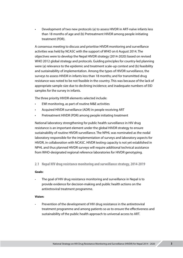Development of two new protocols (a) to assess HIVDR in ART-naïve infants less than 18 months of age and (b) Pretreatment HIVDR among people initiating treatment (PDR).

A consensus meeting to discuss and prioritise HIVDR monitoring and surveillance activities was held by NCASC with the support of WHO on 6 August 2014. The objectives were to develop the Nepal HIVDR strategy (2014-2020) based on revised WHO 2012 global strategy and protocols. Guiding principles for country-led planning were (a) relevance to the epidemic and treatment scale-up context and (b) feasibility and sustainability of implementation. Among the types of HIVDR surveillance, the surveys to assess HIVDR in infants less than 18 months; and for transmitted drug resistance was noted to be not feasible in the country. This was because of the lack of appropriate sample size due to declining incidence; and inadequate numbers of EID samples for the survey in infants.

The three priority HIVDR elements selected include:

- EWI monitoring, as part of routine M&E activities
- Acquired HIVDR surveillance (ADR) in people receiving ART
- Pretreatment HIVDR (PDR) among people initiating treatment

National laboratory strengthening for public health surveillance in HIV drug resistance is an important element under the global HIVDR strategy to ensure sustainability of routine HIVDR surveillance. The NPHL was nominated as the nodal laboratory responsible for the implementation of surveys and laboratory aspects for HIVDR, in collaboration with NCASC. HIVDR testing capacity is not yet established in NPHL and thus planned HIVDR surveys will require additional technical assistance from WHO-designated regional reference laboratories for HIVDR genotyping.

**2.1 Nepal HIV drug resistance monitoring and surveillance strategy, 2014-2019**

#### **Goals:**

**-** The goal of HIV drug resistance monitoring and surveillance in Nepal is to provide evidence for decision-making and public health actions on the antiretroviral treatment programme.

#### **Vision:**

**-** Prevention of the development of HIV drug resistance in the antiretroviral treatment programme and among patients so as to ensure the effectiveness and sustainability of the public health approach to universal access to ART.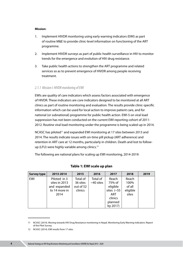#### **Mission:**

- 1. Implement HIVDR monitoring using early warning indicators (EWI) as part of routine M&E to provide clinic-level information on functioning of the ART programme.
- 2. Implement HIVDR surveys as part of public health surveillance in HIV to monitor trends for the emergence and evolution of HIV drug resistance.
- 3. Take public health actions to strengthen the ART programme and related services so as to prevent emergence of HIVDR among people receiving treatment.

#### *2.1.1 Mission I: HIVDR monitoring of EWI*

EWIs are quality of care indicators which assess factors associated with emergence of HIVDR. These indicators are core indicators designed to be monitored at all ART clinics as part of routine monitoring and evaluation. The results provide clinic-specific information which can be used for local action to improve patient care, and for national (or subnational) programme for public health action. EWI-5 on viral load suppression has not been conducted on the current EWI reporting cohort of 2011- 2012. Routine viral load monitoring under the programme is being scaled-up in 2014.

NCASC has piloted<sup>11</sup> and expanded EWI monitoring at 17 sites between 2013 and 2014. The results indicate issues with on-time pill pickup (ART adherence) and retention in ART care at 12 months, particularly in children. Death and lost to followup (LFU) were highly variable among clinics.<sup>12</sup>

The following are national plans for scaling up EWI monitoring, 2014-2019:

| <b>Survey type</b> | 2013-2014                                                              | 2015                                         | 2016                    | 2017                                                                                         | 2018                                         | 2019 |
|--------------------|------------------------------------------------------------------------|----------------------------------------------|-------------------------|----------------------------------------------------------------------------------------------|----------------------------------------------|------|
| EWI                | Piloted in 3<br>sites in 2013<br>and expanded<br>to 14 more in<br>2014 | Total of<br>36 sites<br>out of 52<br>clinics | Total of<br>$~10$ sites | Reach<br>75% of<br>eligible<br>sites $(-55)$<br><b>ART</b><br>clinics<br>planned<br>by 2017) | Reach<br>100%<br>of all<br>eligible<br>sites |      |

#### **Table 1: EWI scale up plan**

<sup>11</sup> NCASC (2014). Moving towards HIV Drug Resistance monitoring in Nepal. Monitoring Early Warning Indicators: Report of the Pilot Survey.

<sup>12</sup> NCASC (2014). EWI results from 17 sites.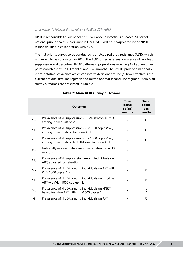#### *2.1.2 Mission II: Public health surveillance of HIVDR, 2014-2019*

NPHL is responsible to public health surveillance in infectious diseases. As part of national public health surveillance in HIV, HIVDR will be incorporated in the NPHL responsibilities in collaboration with NCASC.

The first priority survey to be conducted is on Acquired drug resistance (ADR), which is planned to be conducted in 2015. The ADR survey assesses prevalence of viral load suppression and describes HIVDR patterns in populations receiving ART at two timepoints which are at  $12 \pm 3$  months and  $\geq 48$  months. The results provide a nationally representative prevalence which can inform decisions around (a) how effective is the current national first-line regimen and (b) the optimal second-line regimen. Main ADR survey outcomes are presented in Table 2.

|     | <b>Outcomes</b>                                                                                     | <b>Time</b><br>point:<br>$12 (\pm 3)$<br>months | <b>Time</b><br>point:<br>$\geq$ 48<br>months |
|-----|-----------------------------------------------------------------------------------------------------|-------------------------------------------------|----------------------------------------------|
| 1.a | Prevalence of VL suppression (VL <1000 copies/mL)<br>among individuals on ART                       | X                                               | X                                            |
| 1.b | Prevalence of VL suppression (VL<1000 copies/mL)<br>among individuals on first-line ART             | X                                               | X                                            |
| 1.c | Prevalence of VL suppression (VL<1000 copies/mL)<br>among individuals on NNRTI-based first-line ART | X                                               | X                                            |
| 2.a | Nationally representative measure of retention at 12<br>months                                      | X                                               |                                              |
| 2.b | Prevalence of VL suppression among individuals on<br>ART, adjusted for retention                    | X                                               |                                              |
| 3.a | Prevalence of HIVDR among individuals on ART with<br>$VL > 1000$ copies/mL                          | X                                               | X                                            |
| 3.b | Prevalence of HIVDR among individuals on first-line<br>ART with VL >1000 copies/mL                  | X                                               | X                                            |
| 3.c | Prevalence of HIVDR among individuals on NNRTI-<br>based first-line ART with VL >1000 copies/mL     | X                                               | X                                            |
| 4   | Prevalence of HIVDR among individuals on ART                                                        | X                                               | X                                            |

#### **Table 2: Main ADR survey outcomes**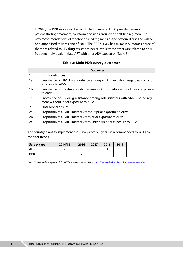In 2016, the PDR survey will be conducted to assess HIVDR prevalence among patient starting treatment, to inform decisions around the first-line regimen. The new recommendations of tenofovir-based regimens as the preferred first-line will be operationalised towards end of 2014. The PDR survey has six main outcomes: three of them are related to HIV drug resistance per se, while three others are related to how frequent individuals initiate ART with prior ARV exposure – Table 3.

|  | <b>Table 3: Main PDR survey outcomes</b> |
|--|------------------------------------------|
|--|------------------------------------------|

|                | <b>Outcomes</b>                                                                                                      |
|----------------|----------------------------------------------------------------------------------------------------------------------|
| 1.             | <b>HIVDR</b> outcomes                                                                                                |
| 1a             | Prevalence of HIV drug resistance among all ART initiators, regardless of prior<br>exposure to ARVs                  |
| 1b             | Prevalence of HIV drug resistance among ART initiators without prior exposure<br>to ARVs                             |
| 1c             | Prevalence of HIV drug resistance among ART initiators with NNRTI-based regi-<br>mens without prior exposure to ARVs |
| 2.             | Prior ARV exposure                                                                                                   |
| 2a             | Proportion of all ART initiators without prior exposure to ARVs                                                      |
| 2 <sub>b</sub> | Proportion of all ART initiators with prior exposure to ARVs                                                         |
| 2c             | Proportion of all ART initiators with unknown prior exposure to ARVs                                                 |

The country plans to implement the surveys every 3 years as recommended by WHO to monitor trends.

| Survey type | 2014/15 | 2016 | 2017 | 2018 | 2019 |
|-------------|---------|------|------|------|------|
| <b>ADR</b>  |         |      |      |      |      |
| <b>PDR</b>  |         |      |      |      |      |

*Note: WHO surveillance protocols for HIVDR surveys are available at:* <http://www.who.int/hiv/topics/drugresistance/en/>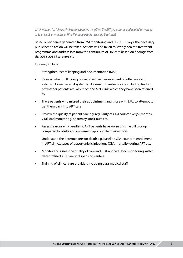#### *2.1.3 Mission III: Take public health action to strengthen the ART programme and related services so as to prevent emergence of HIVDR among people receiving treatment*

Based on evidence generated from EWI monitoring and HIVDR surveys, the necessary public health action will be taken. Actions will be taken to strengthen the treatment programme and address loss from the continuum of HIV care based on findings from the 2013-2014 EWI exercise.

This may include:

- Strengthen record keeping and documentation (M&E)
- Review patient pill pick-up as an objective measurement of adherence and establish formal referral system to document transfer of care including tracking of whether patients actually reach the ART clinic which they have been referred to
- Trace patients who missed their appointment and those with LFU, to attempt to get them back into ART care
- Review the quality of patient care e.g. regularity of CD4 counts every 6 months, viral load monitoring, pharmacy stock-outs etc.
- Assess reasons why paediatric ART patients have worse on-time pill pick up compared to adults and implement appropriate interventions
- Understand the determinants for death e.g. baseline CD4 counts at enrollment in ART clinics, types of opportunistic infections (OIs), mortality during ART etc.
- Monitor and assess the quality of care and CD4 and viral load monitoring within decentralised ART care in dispensing centers
- Training of clinical care providers including para-medical staff.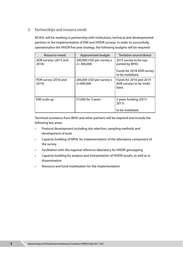#### **3. Partnerships and resource needs**

NCASC will be working in partnership with institutions, technical and developmental partners in the implementation of EWI and HIVDR surveys. In order to successfully operationalise the HIVDR five year strategy, the following budgets will be required:

| Resource needs                 | Approximate budget                        | Tentative source/donor                                                |
|--------------------------------|-------------------------------------------|-----------------------------------------------------------------------|
| ADR surveys (2015 and<br>2018) | 200,000 USD per survey x<br>$2 = 400,000$ | 2015 survey to be sup-<br>ported by WHO.<br>Funds for 2018 ADR survey |
|                                |                                           | to be mobilized.                                                      |
| PDR survey (2016 and<br>2019)  | 200,000 USD per survey x<br>$2=400,000$   | Funds for 2016 and 2019<br>ADR surveys to be mobi-<br>lized.          |
| EWI scale up                   | 57,000 for 3 years                        | 3 years funding (2015-<br>2017)<br>to be mobilized.                   |

Technical assistance from WHO and other partners will be required and include the following key areas:

- Protocol development including site selection, sampling methods and development of tools
- Capacity building of NPHL for implementation of the laboratory component of the survey
- Facilitation with the regional reference laboratory for HIVDR genotyping
- Capacity building for analysis and interpretation of HIVDR results, as well as in dissemination
- Resource and fund mobilisation for the implementation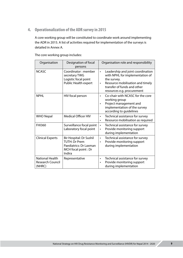**4. Operationalization of the ADR survey in 2015**

A core working group will be constituted to coordinate work around implementing the ADR in 2015. A list of activities required for implementation of the surveys is detailed in Annex A.

| Organisation                                                | Designation of focal<br>persons                                                                            | Organisation role and responsibility                                                                                                                                                                           |
|-------------------------------------------------------------|------------------------------------------------------------------------------------------------------------|----------------------------------------------------------------------------------------------------------------------------------------------------------------------------------------------------------------|
| <b>NCASC</b>                                                | Coordinator: member<br>secretary TWG<br>Logistic focal point<br>Public Health expert                       | Leadership and joint coordination<br>$\bullet$<br>with NPHL for implementation of<br>the survey.<br>Resource mobilisation and timely<br>$\bullet$<br>transfer of funds and other<br>resources e.g. procurement |
| <b>NPHL</b>                                                 | HIV focal person                                                                                           | Co-chair with NCASC for the core<br>$\bullet$<br>working group<br>Project management and<br>$\bullet$<br>implementation of the survey<br>according to guidelines                                               |
| <b>WHO Nepal</b>                                            | <b>Medical Officer HIV</b>                                                                                 | Technical assistance for survey<br>$\bullet$<br>Resource mobilisation as required<br>$\bullet$                                                                                                                 |
| <b>FHI360</b>                                               | Surveillance focal point<br>Laboratory focal point                                                         | Technical assistance for survey<br>٠<br>Provide monitoring support<br>$\bullet$<br>during implementation                                                                                                       |
| <b>Clinical Experts</b>                                     | Bir Hospital: Dr Sushil<br><b>TUTH: Dr Prem</b><br>Paediatrics: Dr Laxman<br>MCH focal point: Dr<br>Indira | Technical assistance for survey<br>$\bullet$<br>Provide monitoring support<br>$\bullet$<br>during implementation                                                                                               |
| <b>National Health</b><br><b>Research Council</b><br>(NHRC) | Representative                                                                                             | Technical assistance for survey<br>$\bullet$<br>Provide monitoring support<br>$\bullet$<br>during implementation                                                                                               |

The core working group includes: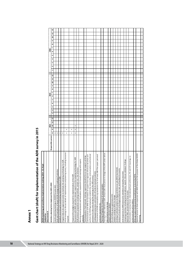| 2<br>$\mathbf{1}$<br>g<br>თ<br>$\infty$<br>r<br>2015<br>م |
|-----------------------------------------------------------|
| H                                                         |